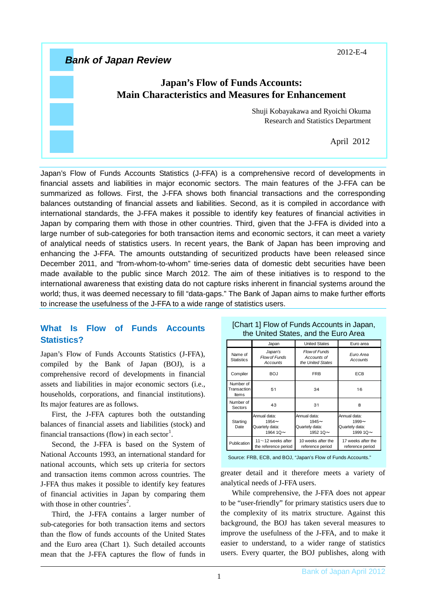2012-E-4

# *Bank of Japan Review*

## **Japan's Flow of Funds Accounts: Main Characteristics and Measures for Enhancement**

Shuji Kobayakawa and Ryoichi Okuma Research and Statistics Department

April 2012

Japan's Flow of Funds Accounts Statistics (J-FFA) is a comprehensive record of developments in financial assets and liabilities in major economic sectors. The main features of the J-FFA can be summarized as follows. First, the J-FFA shows both financial transactions and the corresponding balances outstanding of financial assets and liabilities. Second, as it is compiled in accordance with international standards, the J-FFA makes it possible to identify key features of financial activities in Japan by comparing them with those in other countries. Third, given that the J-FFA is divided into a large number of sub-categories for both transaction items and economic sectors, it can meet a variety of analytical needs of statistics users. In recent years, the Bank of Japan has been improving and enhancing the J-FFA. The amounts outstanding of securitized products have been released since December 2011, and "from-whom-to-whom" time-series data of domestic debt securities have been made available to the public since March 2012. The aim of these initiatives is to respond to the international awareness that existing data do not capture risks inherent in financial systems around the world; thus, it was deemed necessary to fill "data-gaps." The Bank of Japan aims to make further efforts to increase the usefulness of the J-FFA to a wide range of statistics users.

## **What Is Flow of Funds Accounts Statistics?**

Japan's Flow of Funds Accounts Statistics (J-FFA), compiled by the Bank of Japan (BOJ), is a comprehensive record of developments in financial assets and liabilities in major economic sectors (i.e., households, corporations, and financial institutions). Its major features are as follows.

First, the J-FFA captures both the outstanding balances of financial assets and liabilities (stock) and financial transactions (flow) in each sector<sup>[1](#page-6-0)</sup>.

Second, the J-FFA is based on the System of National Accounts 1993, an international standard for national accounts, which sets up criteria for sectors and transaction items common across countries. The J-FFA thus makes it possible to identify key features of financial activities in Japan by comparing them with those in other countries<sup>[2](#page-6-1)</sup>.

Third, the J-FFA contains a larger number of sub-categories for both transaction items and sectors than the flow of funds accounts of the United States and the Euro area (Chart 1). Such detailed accounts mean that the J-FFA captures the flow of funds in

|                                          | Japan                                                        | <b>United States</b>                                         | Euro area                                                    |
|------------------------------------------|--------------------------------------------------------------|--------------------------------------------------------------|--------------------------------------------------------------|
| Name of<br><b>Statistics</b>             | Japan's<br>Flow of Funds<br>Accounts                         | Flow of Funds<br>Accounts of<br>the United States            | Euro Area<br>Accounts                                        |
| Compiler                                 | BOJ                                                          | <b>FRB</b>                                                   | ECB                                                          |
| Number of<br>Transaction<br><b>Items</b> | 51                                                           | 34                                                           | 16                                                           |
| Number of<br>Sectors                     | 43                                                           | 31                                                           | 8                                                            |
| Starting<br>Date                         | Annual data:<br>$1954 -$<br>Quartely data:<br>1964 1Q $\sim$ | Annual data:<br>$1945 -$<br>Quartely data:<br>1952 1Q $\sim$ | Annual data:<br>$1999 -$<br>Quartely data:<br>1999 1Q $\sim$ |
| Publication                              | 11 $\sim$ 12 weeks after<br>the reference period             | 10 weeks after the<br>reference period                       | 17 weeks after the<br>reference period                       |

#### [Chart 1] Flow of Funds Accounts in Japan, the United States, and the Euro Area

Source: FRB, ECB, and BOJ, "Japan's Flow of Funds Accounts."

greater detail and it therefore meets a variety of analytical needs of J-FFA users.

While comprehensive, the J-FFA does not appear to be "user-friendly" for primary statistics users due to the complexity of its matrix structure. Against this background, the BOJ has taken several measures to improve the usefulness of the J-FFA, and to make it easier to understand, to a wider range of statistics users. Every quarter, the BOJ publishes, along with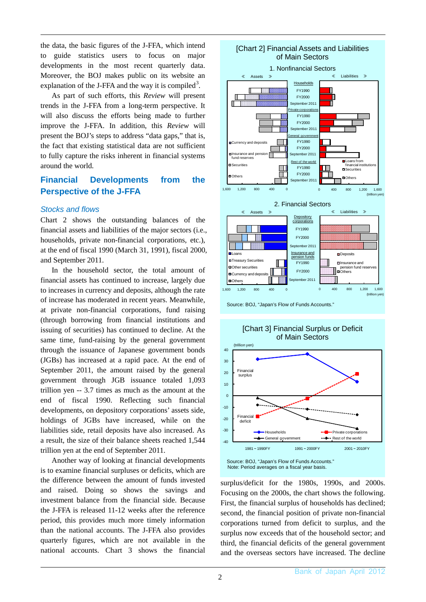the data, the basic figures of the J-FFA, which intend to guide statistics users to focus on major developments in the most recent quarterly data. Moreover, the BOJ makes public on its website an explanation of the J-FFA and the way it is compiled<sup>[3](#page-6-2)</sup>.

As part of such efforts, this *Review* will present trends in the J-FFA from a long-term perspective. It will also discuss the efforts being made to further improve the J-FFA. In addition, this *Review* will present the BOJ's steps to address "data gaps," that is, the fact that existing statistical data are not sufficient to fully capture the risks inherent in financial systems around the world.

## **Financial Developments from the Perspective of the J-FFA**

### *Stocks and flows*

Chart 2 shows the outstanding balances of the financial assets and liabilities of the major sectors (i.e., households, private non-financial corporations, etc.), at the end of fiscal 1990 (March 31, 1991), fiscal 2000, and September 2011.

In the household sector, the total amount of financial assets has continued to increase, largely due to increases in currency and deposits, although the rate of increase has moderated in recent years. Meanwhile, at private non-financial corporations, fund raising (through borrowing from financial institutions and issuing of securities) has continued to decline. At the same time, fund-raising by the general government through the issuance of Japanese government bonds (JGBs) has increased at a rapid pace. At the end of September 2011, the amount raised by the general government through JGB issuance totaled 1,093 trillion yen -- 3.7 times as much as the amount at the end of fiscal 1990. Reflecting such financial developments, on depository corporations' assets side, holdings of JGBs have increased, while on the liabilities side, retail deposits have also increased. As a result, the size of their balance sheets reached 1,544 trillion yen at the end of September 2011.

Another way of looking at financial developments is to examine financial surpluses or deficits, which are the difference between the amount of funds invested and raised. Doing so shows the savings and investment balance from the financial side. Because the J-FFA is released 11-12 weeks after the reference period, this provides much more timely information than the national accounts. The J-FFA also provides quarterly figures, which are not available in the national accounts. Chart 3 shows the financial



Source: BOJ, "Japan's Flow of Funds Accounts."





surplus/deficit for the 1980s, 1990s, and 2000s. Focusing on the 2000s, the chart shows the following. First, the financial surplus of households has declined; second, the financial position of private non-financial corporations turned from deficit to surplus, and the surplus now exceeds that of the household sector; and third, the financial deficits of the general government and the overseas sectors have increased. The decline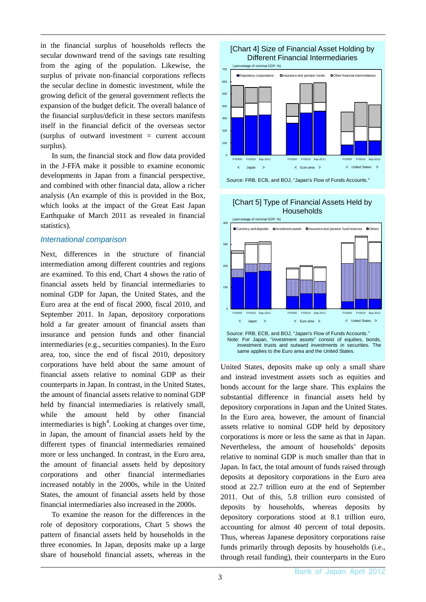in the financial surplus of households reflects the secular downward trend of the savings rate resulting from the aging of the population. Likewise, the surplus of private non-financial corporations reflects the secular decline in domestic investment, while the growing deficit of the general government reflects the expansion of the budget deficit. The overall balance of the financial surplus/deficit in these sectors manifests itself in the financial deficit of the overseas sector (surplus of outward investment = current account surplus).

In sum, the financial stock and flow data provided in the J-FFA make it possible to examine economic developments in Japan from a financial perspective, and combined with other financial data, allow a richer analysis (An example of this is provided in the Box, which looks at the impact of the Great East Japan Earthquake of March 2011 as revealed in financial statistics).

#### *International comparison*

Next, differences in the structure of financial intermediation among different countries and regions are examined. To this end, Chart 4 shows the ratio of financial assets held by financial intermediaries to nominal GDP for Japan, the United States, and the Euro area at the end of fiscal 2000, fiscal 2010, and September 2011. In Japan, depository corporations hold a far greater amount of financial assets than insurance and pension funds and other financial intermediaries (e.g., securities companies). In the Euro area, too, since the end of fiscal 2010, depository corporations have held about the same amount of financial assets relative to nominal GDP as their counterparts in Japan. In contrast, in the United States, the amount of financial assets relative to nominal GDP held by financial intermediaries is relatively small, while the amount held by other financial intermediaries is high<sup>[4](#page-6-3)</sup>. Looking at changes over time, in Japan, the amount of financial assets held by the different types of financial intermediaries remained more or less unchanged. In contrast, in the Euro area, the amount of financial assets held by depository corporations and other financial intermediaries increased notably in the 2000s, while in the United States, the amount of financial assets held by those financial intermediaries also increased in the 2000s.

To examine the reason for the differences in the role of depository corporations, Chart 5 shows the pattern of financial assets held by households in the three economies. In Japan, deposits make up a large share of household financial assets, whereas in the



Source: FRB, ECB, and BOJ, "Japan's Flow of Funds Accounts."



### [Chart 5] Type of Financial Assets Held by Households

United States, deposits make up only a small share and instead investment assets such as equities and bonds account for the large share. This explains the substantial difference in financial assets held by depository corporations in Japan and the United States. In the Euro area, however, the amount of financial assets relative to nominal GDP held by depository corporations is more or less the same as that in Japan. Nevertheless, the amount of households' deposits relative to nominal GDP is much smaller than that in Japan. In fact, the total amount of funds raised through deposits at depository corporations in the Euro area stood at 22.7 trillion euro at the end of September 2011. Out of this, 5.8 trillion euro consisted of deposits by households, whereas deposits by depository corporations stood at 8.1 trillion euro, accounting for almost 40 percent of total deposits. Thus, whereas Japanese depository corporations raise funds primarily through deposits by households (i.e., through retail funding), their counterparts in the Euro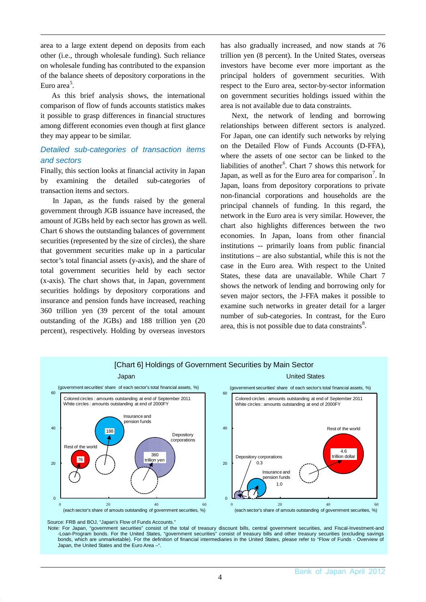area to a large extent depend on deposits from each other (i.e., through wholesale funding). Such reliance on wholesale funding has contributed to the expansion of the balance sheets of depository corporations in the Euro area<sup>[5](#page-6-4)</sup>.

As this brief analysis shows, the international comparison of flow of funds accounts statistics makes it possible to grasp differences in financial structures among different economies even though at first glance they may appear to be similar.

### *Detailed sub-categories of transaction items and sectors*

Finally, this section looks at financial activity in Japan by examining the detailed sub-categories of transaction items and sectors.

In Japan, as the funds raised by the general government through JGB issuance have increased, the amount of JGBs held by each sector has grown as well. Chart 6 shows the outstanding balances of government securities (represented by the size of circles), the share that government securities make up in a particular sector's total financial assets (y-axis), and the share of total government securities held by each sector (x-axis). The chart shows that, in Japan, government securities holdings by depository corporations and insurance and pension funds have increased, reaching 360 trillion yen (39 percent of the total amount outstanding of the JGBs) and 188 trillion yen (20 percent), respectively. Holding by overseas investors

has also gradually increased, and now stands at 76 trillion yen (8 percent). In the United States, overseas investors have become ever more important as the principal holders of government securities. With respect to the Euro area, sector-by-sector information on government securities holdings issued within the area is not available due to data constraints.

Next, the network of lending and borrowing relationships between different sectors is analyzed. For Japan, one can identify such networks by relying on the Detailed Flow of Funds Accounts (D-FFA), where the assets of one sector can be linked to the liabilities of another<sup>[6](#page-6-5)</sup>. Chart 7 shows this network for Japan, as well as for the Euro area for comparison<sup>[7](#page-6-6)</sup>. In Japan, loans from depository corporations to private non-financial corporations and households are the principal channels of funding. In this regard, the network in the Euro area is very similar. However, the chart also highlights differences between the two economies. In Japan, loans from other financial institutions -- primarily loans from public financial institutions – are also substantial, while this is not the case in the Euro area. With respect to the United States, these data are unavailable. While Chart 7 shows the network of lending and borrowing only for seven major sectors, the J-FFA makes it possible to examine such networks in greater detail for a larger number of sub-categories. In contrast, for the Euro area, this is not possible due to data constraints $8$ .



Source: FRB and BOJ, "Japan's Flow of Funds Accounts.

Note: For Japan, "government securities" consist of the total of treasury discount bills, central government securities, and Fiscal-Investment-and -Loan-Program bonds. For the United States, "government securities" consist of treasury bills and other treasury securities (excluding savings bonds, which are unmarketable). For the definition of financial intermediaries in the United States, please refer to "Flow of Funds - Overview of Japan, the United States and the Euro Area –".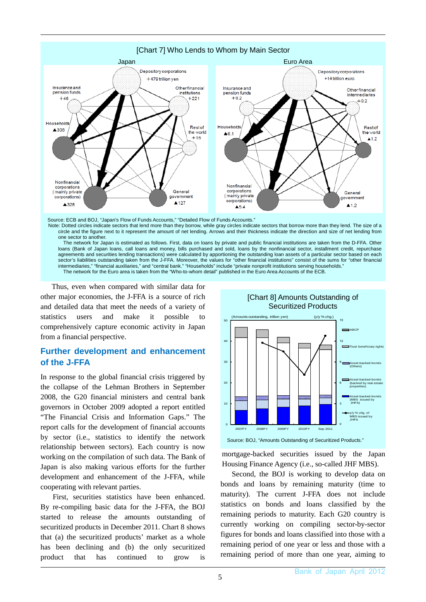

Thus, even when compared with similar data for other major economies, the J-FFA is a source of rich and detailed data that meet the needs of a variety of statistics users and make it possible comprehensively capture economic activity in Japan from a financial perspective.

## **Further development and enhancement of the J-FFA**

In response to the global financial crisis triggered by the collapse of the Lehman Brothers in September 2008, the G20 financial ministers and central bank governors in October 2009 adopted a report entitled "The Financial Crisis and Information Gaps." The report calls for the development of financial accounts by sector (i.e., statistics to identify the network relationship between sectors). Each country is now working on the compilation of such data. The Bank of Japan is also making various efforts for the further development and enhancement of the J-FFA, while cooperating with relevant parties.

First, securities statistics have been enhanced. By re-compiling basic data for the J-FFA, the BOJ started to release the amounts outstanding of securitized products in December 2011. Chart 8 shows that (a) the securitized products' market as a whole has been declining and (b) the only securitized product that has continued to grow is



mortgage-backed securities issued by the Japan Housing Finance Agency (i.e., so-called JHF MBS).

Second, the BOJ is working to develop data on bonds and loans by remaining maturity (time to maturity). The current J-FFA does not include statistics on bonds and loans classified by the remaining periods to maturity. Each G20 country is currently working on compiling sector-by-sector figures for bonds and loans classified into those with a remaining period of one year or less and those with a remaining period of more than one year, aiming to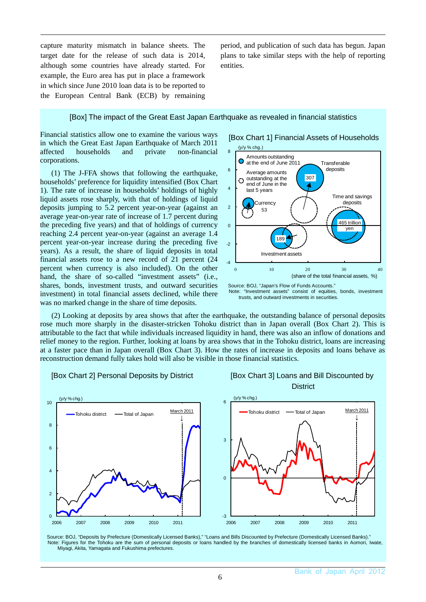capture maturity mismatch in balance sheets. The target date for the release of such data is 2014, although some countries have already started. For example, the Euro area has put in place a framework in which since June 2010 loan data is to be reported to the European Central Bank (ECB) by remaining

period, and publication of such data has begun. Japan plans to take similar steps with the help of reporting entities.

#### [Box] The impact of the Great East Japan Earthquake as revealed in financial statistics

Financial statistics allow one to examine the various ways in which the Great East Japan Earthquake of March 2011 affected households and private non-financial corporations.

(1) The J-FFA shows that following the earthquake, households' preference for liquidity intensified (Box Chart 1). The rate of increase in households' holdings of highly liquid assets rose sharply, with that of holdings of liquid deposits jumping to 5.2 percent year-on-year (against an average year-on-year rate of increase of 1.7 percent during the preceding five years) and that of holdings of currency reaching 2.4 percent year-on-year (against an average 1.4 percent year-on-year increase during the preceding five years). As a result, the share of liquid deposits in total financial assets rose to a new record of 21 percent (24 percent when currency is also included). On the other hand, the share of so-called "investment assets" (i.e., shares, bonds, investment trusts, and outward securities investment) in total financial assets declined, while there was no marked change in the share of time deposits.

 (2) Looking at deposits by area shows that after the earthquake, the outstanding balance of personal deposits rose much more sharply in the disaster-stricken Tohoku district than in Japan overall (Box Chart 2). This is attributable to the fact that while individuals increased liquidity in hand, there was also an inflow of donations and relief money to the region. Further, looking at loans by area shows that in the Tohoku district, loans are increasing at a faster pace than in Japan overall (Box Chart 3). How the rates of increase in deposits and loans behave as reconstruction demand fully takes hold will also be visible in those financial statistics.



[Box Chart 2] Personal Deposits by District [Box Chart 3] Loans and Bill Discounted by





Source: BOJ, "Japan's Flow of Funds Accounts." Note: "Investment assets" consist of equities, bonds, investment trusts, and outward investments in securities.

Source: BOJ, "Deposits by Prefecture (Domestically Licensed Banks)," "Loans and Bills Discounted by Prefecture (Domestically Licensed Banks)." Note: Figures for the Tohoku are the sum of personal deposits or loans handled by the branches of domestically licensed banks in Aomori, Iwate, Miyagi, Akita, Yamagata and Fukushima prefectures.